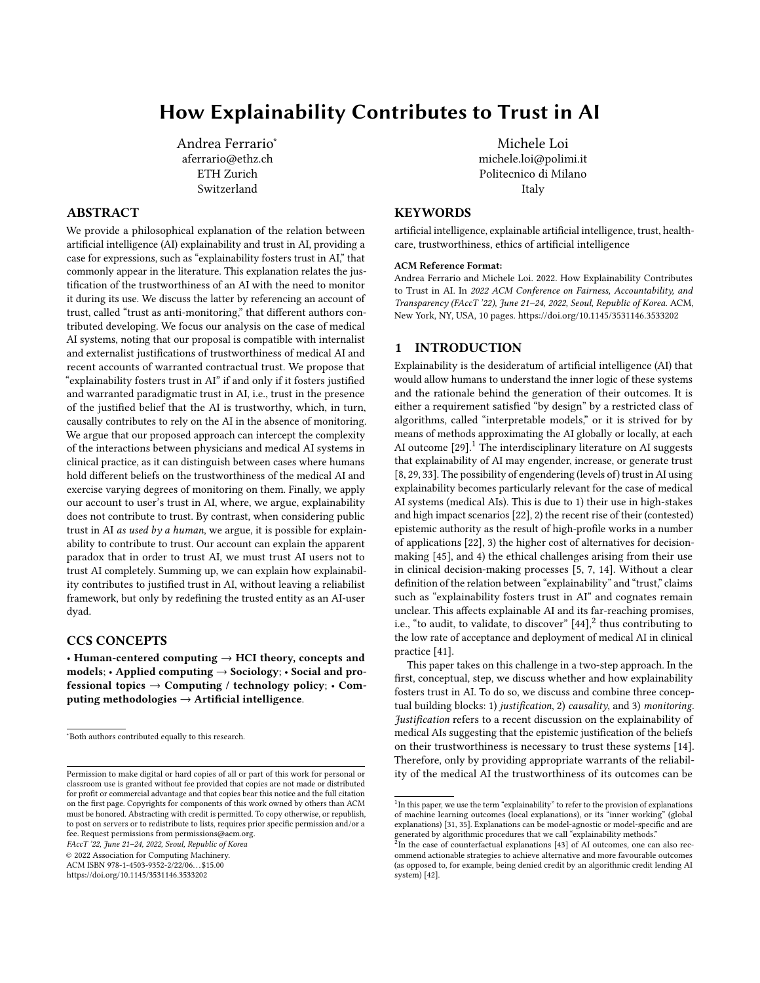# How Explainability Contributes to Trust in AI

[Andrea Ferrario](https://orcid.org/0000-0001-9968-9474)<sup>∗</sup> aferrario@ethz.ch ETH Zurich Switzerland

## ABSTRACT

We provide a philosophical explanation of the relation between artificial intelligence (AI) explainability and trust in AI, providing a case for expressions, such as "explainability fosters trust in AI," that commonly appear in the literature. This explanation relates the justification of the trustworthiness of an AI with the need to monitor it during its use. We discuss the latter by referencing an account of trust, called "trust as anti-monitoring," that different authors contributed developing. We focus our analysis on the case of medical AI systems, noting that our proposal is compatible with internalist and externalist justifications of trustworthiness of medical AI and recent accounts of warranted contractual trust. We propose that "explainability fosters trust in AI" if and only if it fosters justified and warranted paradigmatic trust in AI, i.e., trust in the presence of the justified belief that the AI is trustworthy, which, in turn, causally contributes to rely on the AI in the absence of monitoring. We argue that our proposed approach can intercept the complexity of the interactions between physicians and medical AI systems in clinical practice, as it can distinguish between cases where humans hold different beliefs on the trustworthiness of the medical AI and exercise varying degrees of monitoring on them. Finally, we apply our account to user's trust in AI, where, we argue, explainability does not contribute to trust. By contrast, when considering public trust in AI as used by a human, we argue, it is possible for explainability to contribute to trust. Our account can explain the apparent paradox that in order to trust AI, we must trust AI users not to trust AI completely. Summing up, we can explain how explainability contributes to justified trust in AI, without leaving a reliabilist framework, but only by redefining the trusted entity as an AI-user dyad.

#### CCS CONCEPTS

• Human-centered computing  $\rightarrow$  HCI theory, concepts and  $models$ ; • Applied computing  $\rightarrow$  Sociology; • Social and professional topics → Computing / technology policy; • Computing methodologies  $\rightarrow$  Artificial intelligence.

FAccT '22, June 21–24, 2022, Seoul, Republic of Korea

© 2022 Association for Computing Machinery.

ACM ISBN 978-1-4503-9352-2/22/06. . . \$15.00

<https://doi.org/10.1145/3531146.3533202>

[Michele Loi](https://orcid.org/0000-0002-7053-4724) michele.loi@polimi.it Politecnico di Milano Italy

## **KEYWORDS**

artificial intelligence, explainable artificial intelligence, trust, healthcare, trustworthiness, ethics of artificial intelligence

#### ACM Reference Format:

Andrea Ferrario and Michele Loi. 2022. How Explainability Contributes to Trust in AI. In 2022 ACM Conference on Fairness, Accountability, and Transparency (FAccT '22), June 21–24, 2022, Seoul, Republic of Korea. ACM, New York, NY, USA, [10](#page-9-0) pages.<https://doi.org/10.1145/3531146.3533202>

## 1 INTRODUCTION

Explainability is the desideratum of artificial intelligence (AI) that would allow humans to understand the inner logic of these systems and the rationale behind the generation of their outcomes. It is either a requirement satisfied "by design" by a restricted class of algorithms, called "interpretable models," or it is strived for by means of methods approximating the AI globally or locally, at each AI outcome  $[29]$ .<sup>[1](#page-0-0)</sup> The interdisciplinary literature on AI suggests that explainability of AI may engender, increase, or generate trust [\[8,](#page-8-0) [29,](#page-9-1) [33\]](#page-9-2). The possibility of engendering (levels of) trust in AI using explainability becomes particularly relevant for the case of medical AI systems (medical AIs). This is due to 1) their use in high-stakes and high impact scenarios [\[22\]](#page-9-3), 2) the recent rise of their (contested) epistemic authority as the result of high-profile works in a number of applications [\[22\]](#page-9-3), 3) the higher cost of alternatives for decisionmaking [\[45\]](#page-9-4), and 4) the ethical challenges arising from their use in clinical decision-making processes [\[5,](#page-8-1) [7,](#page-8-2) [14\]](#page-8-3). Without a clear definition of the relation between "explainability" and "trust," claims such as "explainability fosters trust in AI" and cognates remain unclear. This affects explainable AI and its far-reaching promises, i.e., "to audit, to validate, to discover"  $[44]$ ,  $2$  thus contributing to the low rate of acceptance and deployment of medical AI in clinical practice [\[41\]](#page-9-6).

This paper takes on this challenge in a two-step approach. In the first, conceptual, step, we discuss whether and how explainability fosters trust in AI. To do so, we discuss and combine three conceptual building blocks: 1) justification, 2) causality, and 3) monitoring. Justification refers to a recent discussion on the explainability of medical AIs suggesting that the epistemic justification of the beliefs on their trustworthiness is necessary to trust these systems [\[14\]](#page-8-3). Therefore, only by providing appropriate warrants of the reliability of the medical AI the trustworthiness of its outcomes can be

<sup>∗</sup>Both authors contributed equally to this research.

Permission to make digital or hard copies of all or part of this work for personal or classroom use is granted without fee provided that copies are not made or distributed for profit or commercial advantage and that copies bear this notice and the full citation on the first page. Copyrights for components of this work owned by others than ACM must be honored. Abstracting with credit is permitted. To copy otherwise, or republish, to post on servers or to redistribute to lists, requires prior specific permission and/or a fee. Request permissions from permissions@acm.org.

<span id="page-0-0"></span><sup>&</sup>lt;sup>1</sup>In this paper, we use the term "explainability" to refer to the provision of explanations of machine learning outcomes (local explanations), or its "inner working" (global explanations) [\[31,](#page-9-7) [35\]](#page-9-8). Explanations can be model-agnostic or model-specific and are generated by algorithmic procedures that we call "explainability methods."<br><sup>2</sup>In the case of counterfactual explanations [\[43\]](#page-9-9) of AI outcomes, one can also rec-

<span id="page-0-1"></span>ommend actionable strategies to achieve alternative and more favourable outcomes (as opposed to, for example, being denied credit by an algorithmic credit lending AI system) [\[42\]](#page-9-10).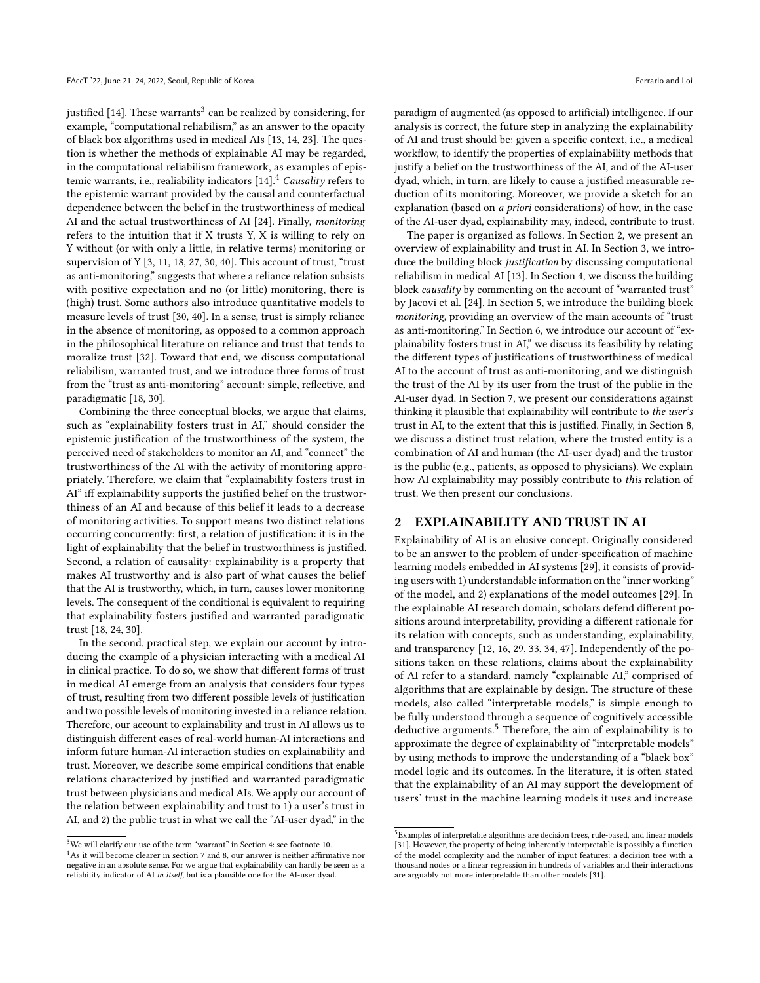justified [\[14\]](#page-8-3). These warrants $^3$  $^3$  can be realized by considering, for example, "computational reliabilism," as an answer to the opacity of black box algorithms used in medical AIs [\[13,](#page-8-4) [14,](#page-8-3) [23\]](#page-9-11). The question is whether the methods of explainable AI may be regarded, in the computational reliabilism framework, as examples of epistemic warrants, i.e., realiability indicators  $[14]$ .<sup>[4](#page-1-1)</sup> Causality refers to the epistemic warrant provided by the causal and counterfactual dependence between the belief in the trustworthiness of medical AI and the actual trustworthiness of AI [\[24\]](#page-9-12). Finally, monitoring refers to the intuition that if X trusts Y, X is willing to rely on Y without (or with only a little, in relative terms) monitoring or supervision of Y [\[3,](#page-8-5) [11,](#page-8-6) [18,](#page-9-13) [27,](#page-9-14) [30,](#page-9-15) [40\]](#page-9-16). This account of trust, "trust as anti-monitoring," suggests that where a reliance relation subsists with positive expectation and no (or little) monitoring, there is (high) trust. Some authors also introduce quantitative models to measure levels of trust [\[30,](#page-9-15) [40\]](#page-9-16). In a sense, trust is simply reliance in the absence of monitoring, as opposed to a common approach in the philosophical literature on reliance and trust that tends to moralize trust [\[32\]](#page-9-17). Toward that end, we discuss computational reliabilism, warranted trust, and we introduce three forms of trust from the "trust as anti-monitoring" account: simple, reflective, and paradigmatic [\[18,](#page-9-13) [30\]](#page-9-15).

Combining the three conceptual blocks, we argue that claims, such as "explainability fosters trust in AI," should consider the epistemic justification of the trustworthiness of the system, the perceived need of stakeholders to monitor an AI, and "connect" the trustworthiness of the AI with the activity of monitoring appropriately. Therefore, we claim that "explainability fosters trust in AI" iff explainability supports the justified belief on the trustworthiness of an AI and because of this belief it leads to a decrease of monitoring activities. To support means two distinct relations occurring concurrently: first, a relation of justification: it is in the light of explainability that the belief in trustworthiness is justified. Second, a relation of causality: explainability is a property that makes AI trustworthy and is also part of what causes the belief that the AI is trustworthy, which, in turn, causes lower monitoring levels. The consequent of the conditional is equivalent to requiring that explainability fosters justified and warranted paradigmatic trust [\[18,](#page-9-13) [24,](#page-9-12) [30\]](#page-9-15).

In the second, practical step, we explain our account by introducing the example of a physician interacting with a medical AI in clinical practice. To do so, we show that different forms of trust in medical AI emerge from an analysis that considers four types of trust, resulting from two different possible levels of justification and two possible levels of monitoring invested in a reliance relation. Therefore, our account to explainability and trust in AI allows us to distinguish different cases of real-world human-AI interactions and inform future human-AI interaction studies on explainability and trust. Moreover, we describe some empirical conditions that enable relations characterized by justified and warranted paradigmatic trust between physicians and medical AIs. We apply our account of the relation between explainability and trust to 1) a user's trust in AI, and 2) the public trust in what we call the "AI-user dyad," in the

paradigm of augmented (as opposed to artificial) intelligence. If our analysis is correct, the future step in analyzing the explainability of AI and trust should be: given a specific context, i.e., a medical workflow, to identify the properties of explainability methods that justify a belief on the trustworthiness of the AI, and of the AI-user dyad, which, in turn, are likely to cause a justified measurable reduction of its monitoring. Moreover, we provide a sketch for an explanation (based on a priori considerations) of how, in the case of the AI-user dyad, explainability may, indeed, contribute to trust.

The paper is organized as follows. In Section [2,](#page-1-2) we present an overview of explainability and trust in AI. In Section [3,](#page-2-0) we introduce the building block justification by discussing computational reliabilism in medical AI [\[13\]](#page-8-4). In Section [4,](#page-3-0) we discuss the building block causality by commenting on the account of "warranted trust" by Jacovi et al. [\[24\]](#page-9-12). In Section [5,](#page-4-0) we introduce the building block monitoring, providing an overview of the main accounts of "trust as anti-monitoring." In Section [6,](#page-4-1) we introduce our account of "explainability fosters trust in AI," we discuss its feasibility by relating the different types of justifications of trustworthiness of medical AI to the account of trust as anti-monitoring, and we distinguish the trust of the AI by its user from the trust of the public in the AI-user dyad. In Section [7,](#page-5-0) we present our considerations against thinking it plausible that explainability will contribute to the user's trust in AI, to the extent that this is justified. Finally, in Section [8,](#page-6-0) we discuss a distinct trust relation, where the trusted entity is a combination of AI and human (the AI-user dyad) and the trustor is the public (e.g., patients, as opposed to physicians). We explain how AI explainability may possibly contribute to this relation of trust. We then present our conclusions.

#### <span id="page-1-2"></span>2 EXPLAINABILITY AND TRUST IN AI

Explainability of AI is an elusive concept. Originally considered to be an answer to the problem of under-specification of machine learning models embedded in AI systems [\[29\]](#page-9-1), it consists of providing users with 1) understandable information on the "inner working" of the model, and 2) explanations of the model outcomes [\[29\]](#page-9-1). In the explainable AI research domain, scholars defend different positions around interpretability, providing a different rationale for its relation with concepts, such as understanding, explainability, and transparency [\[12,](#page-8-7) [16,](#page-8-8) [29,](#page-9-1) [33,](#page-9-2) [34,](#page-9-18) [47\]](#page-9-19). Independently of the positions taken on these relations, claims about the explainability of AI refer to a standard, namely "explainable AI," comprised of algorithms that are explainable by design. The structure of these models, also called "interpretable models," is simple enough to be fully understood through a sequence of cognitively accessible deductive arguments.<sup>[5](#page-1-3)</sup> Therefore, the aim of explainability is to approximate the degree of explainability of "interpretable models" by using methods to improve the understanding of a "black box" model logic and its outcomes. In the literature, it is often stated that the explainability of an AI may support the development of users' trust in the machine learning models it uses and increase

<span id="page-1-0"></span> $^3\rm{We}$  will clarify our use of the term "warrant" in Section [4:](#page-3-0) see footnote 10.

<span id="page-1-1"></span><sup>4</sup>As it will become clearer in section [7](#page-5-0) and [8,](#page-6-0) our answer is neither affirmative nor negative in an absolute sense. For we argue that explainability can hardly be seen as a reliability indicator of AI in itself, but is a plausible one for the AI-user dyad.

<span id="page-1-3"></span><sup>5</sup>Examples of interpretable algorithms are decision trees, rule-based, and linear models [\[31\]](#page-9-7). However, the property of being inherently interpretable is possibly a function of the model complexity and the number of input features: a decision tree with a thousand nodes or a linear regression in hundreds of variables and their interactions are arguably not more interpretable than other models [\[31\]](#page-9-7).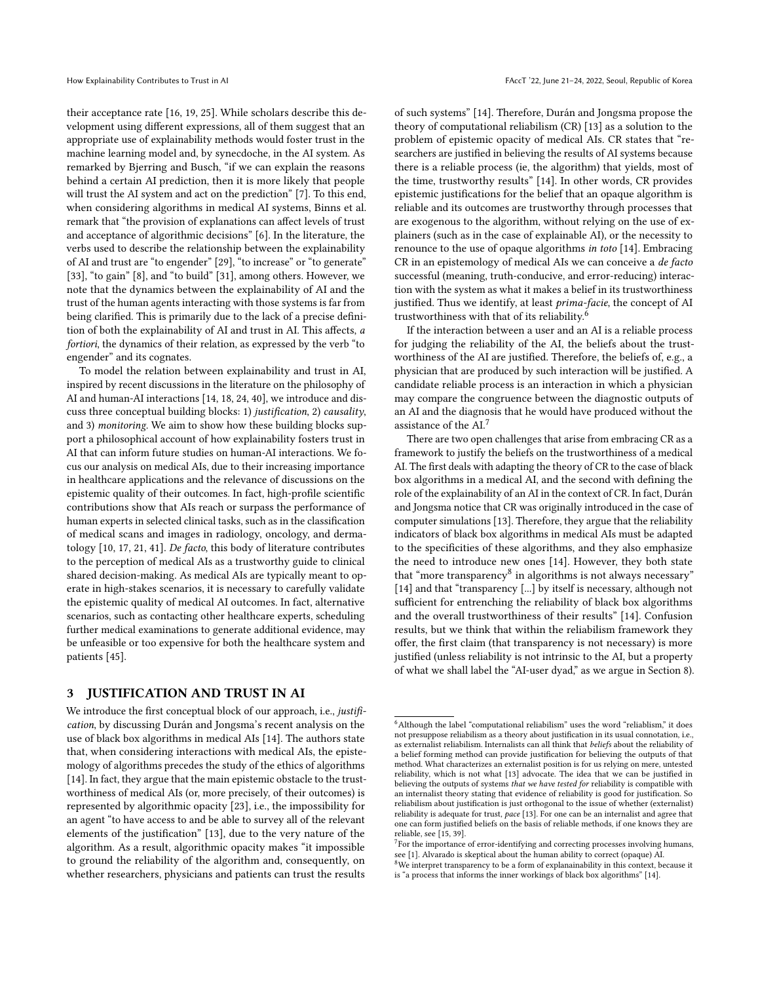their acceptance rate [\[16,](#page-8-8) [19,](#page-9-20) [25\]](#page-9-21). While scholars describe this development using different expressions, all of them suggest that an appropriate use of explainability methods would foster trust in the machine learning model and, by synecdoche, in the AI system. As remarked by Bjerring and Busch, "if we can explain the reasons behind a certain AI prediction, then it is more likely that people will trust the AI system and act on the prediction" [\[7\]](#page-8-2). To this end, when considering algorithms in medical AI systems, Binns et al. remark that "the provision of explanations can affect levels of trust and acceptance of algorithmic decisions" [\[6\]](#page-8-9). In the literature, the verbs used to describe the relationship between the explainability of AI and trust are "to engender" [\[29\]](#page-9-1), "to increase" or "to generate" [\[33\]](#page-9-2), "to gain" [\[8\]](#page-8-0), and "to build" [\[31\]](#page-9-7), among others. However, we note that the dynamics between the explainability of AI and the trust of the human agents interacting with those systems is far from being clarified. This is primarily due to the lack of a precise definition of both the explainability of AI and trust in AI. This affects, a fortiori, the dynamics of their relation, as expressed by the verb "to engender" and its cognates.

To model the relation between explainability and trust in AI, inspired by recent discussions in the literature on the philosophy of AI and human-AI interactions [\[14,](#page-8-3) [18,](#page-9-13) [24,](#page-9-12) [40\]](#page-9-16), we introduce and discuss three conceptual building blocks: 1) justification, 2) causality, and 3) monitoring. We aim to show how these building blocks support a philosophical account of how explainability fosters trust in AI that can inform future studies on human-AI interactions. We focus our analysis on medical AIs, due to their increasing importance in healthcare applications and the relevance of discussions on the epistemic quality of their outcomes. In fact, high-profile scientific contributions show that AIs reach or surpass the performance of human experts in selected clinical tasks, such as in the classification of medical scans and images in radiology, oncology, and dermatology [\[10,](#page-8-10) [17,](#page-8-11) [21,](#page-9-22) [41\]](#page-9-6). De facto, this body of literature contributes to the perception of medical AIs as a trustworthy guide to clinical shared decision-making. As medical AIs are typically meant to operate in high-stakes scenarios, it is necessary to carefully validate the epistemic quality of medical AI outcomes. In fact, alternative scenarios, such as contacting other healthcare experts, scheduling further medical examinations to generate additional evidence, may be unfeasible or too expensive for both the healthcare system and patients [\[45\]](#page-9-4).

#### <span id="page-2-0"></span>3 JUSTIFICATION AND TRUST IN AI

We introduce the first conceptual block of our approach, i.e., justification, by discussing Durán and Jongsma's recent analysis on the use of black box algorithms in medical AIs [\[14\]](#page-8-3). The authors state that, when considering interactions with medical AIs, the epistemology of algorithms precedes the study of the ethics of algorithms [\[14\]](#page-8-3). In fact, they argue that the main epistemic obstacle to the trustworthiness of medical AIs (or, more precisely, of their outcomes) is represented by algorithmic opacity [\[23\]](#page-9-11), i.e., the impossibility for an agent "to have access to and be able to survey all of the relevant elements of the justification" [\[13\]](#page-8-4), due to the very nature of the algorithm. As a result, algorithmic opacity makes "it impossible to ground the reliability of the algorithm and, consequently, on whether researchers, physicians and patients can trust the results

of such systems" [\[14\]](#page-8-3). Therefore, Durán and Jongsma propose the theory of computational reliabilism (CR) [\[13\]](#page-8-4) as a solution to the problem of epistemic opacity of medical AIs. CR states that "researchers are justified in believing the results of AI systems because there is a reliable process (ie, the algorithm) that yields, most of the time, trustworthy results" [\[14\]](#page-8-3). In other words, CR provides epistemic justifications for the belief that an opaque algorithm is reliable and its outcomes are trustworthy through processes that are exogenous to the algorithm, without relying on the use of explainers (such as in the case of explainable AI), or the necessity to renounce to the use of opaque algorithms in toto [\[14\]](#page-8-3). Embracing CR in an epistemology of medical AIs we can conceive a de facto successful (meaning, truth-conducive, and error-reducing) interaction with the system as what it makes a belief in its trustworthiness justified. Thus we identify, at least prima-facie, the concept of AI trustworthiness with that of its reliability.[6](#page-2-1)

If the interaction between a user and an AI is a reliable process for judging the reliability of the AI, the beliefs about the trustworthiness of the AI are justified. Therefore, the beliefs of, e.g., a physician that are produced by such interaction will be justified. A candidate reliable process is an interaction in which a physician may compare the congruence between the diagnostic outputs of an AI and the diagnosis that he would have produced without the assistance of the AI.<sup>[7](#page-2-2)</sup>

There are two open challenges that arise from embracing CR as a framework to justify the beliefs on the trustworthiness of a medical AI. The first deals with adapting the theory of CR to the case of black box algorithms in a medical AI, and the second with defining the role of the explainability of an AI in the context of CR. In fact, Durán and Jongsma notice that CR was originally introduced in the case of computer simulations [\[13\]](#page-8-4). Therefore, they argue that the reliability indicators of black box algorithms in medical AIs must be adapted to the specificities of these algorithms, and they also emphasize the need to introduce new ones [\[14\]](#page-8-3). However, they both state that "more transparency<sup>[8](#page-2-3)</sup> in algorithms is not always necessary" [\[14\]](#page-8-3) and that "transparency [...] by itself is necessary, although not sufficient for entrenching the reliability of black box algorithms and the overall trustworthiness of their results" [\[14\]](#page-8-3). Confusion results, but we think that within the reliabilism framework they offer, the first claim (that transparency is not necessary) is more justified (unless reliability is not intrinsic to the AI, but a property of what we shall label the "AI-user dyad," as we argue in Section [8\)](#page-6-0).

<span id="page-2-1"></span> $6$ Although the label "computational reliabilism" uses the word "reliablism," it does not presuppose reliabilism as a theory about justification in its usual connotation, i.e., as externalist reliabilism. Internalists can all think that beliefs about the reliability of a belief forming method can provide justification for believing the outputs of that method. What characterizes an externalist position is for us relying on mere, untested reliability, which is not what [\[13\]](#page-8-4) advocate. The idea that we can be justified in believing the outputs of systems that we have tested for reliability is compatible with an internalist theory stating that evidence of reliability is good for justification. So reliabilism about justification is just orthogonal to the issue of whether (externalist) reliability is adequate for trust, pace [\[13\]](#page-8-4). For one can be an internalist and agree that one can form justified beliefs on the basis of reliable methods, if one knows they are reliable, see [\[15,](#page-8-12) [39\]](#page-9-23).

<span id="page-2-2"></span> $7$  For the importance of error-identifying and correcting processes involving humans, see [\[1\]](#page-8-13). Alvarado is skeptical about the human ability to correct (opaque) AI.

<span id="page-2-3"></span><sup>&</sup>lt;sup>8</sup>We interpret transparency to be a form of explanainability in this context, because it is "a process that informs the inner workings of black box algorithms" [\[14\]](#page-8-3).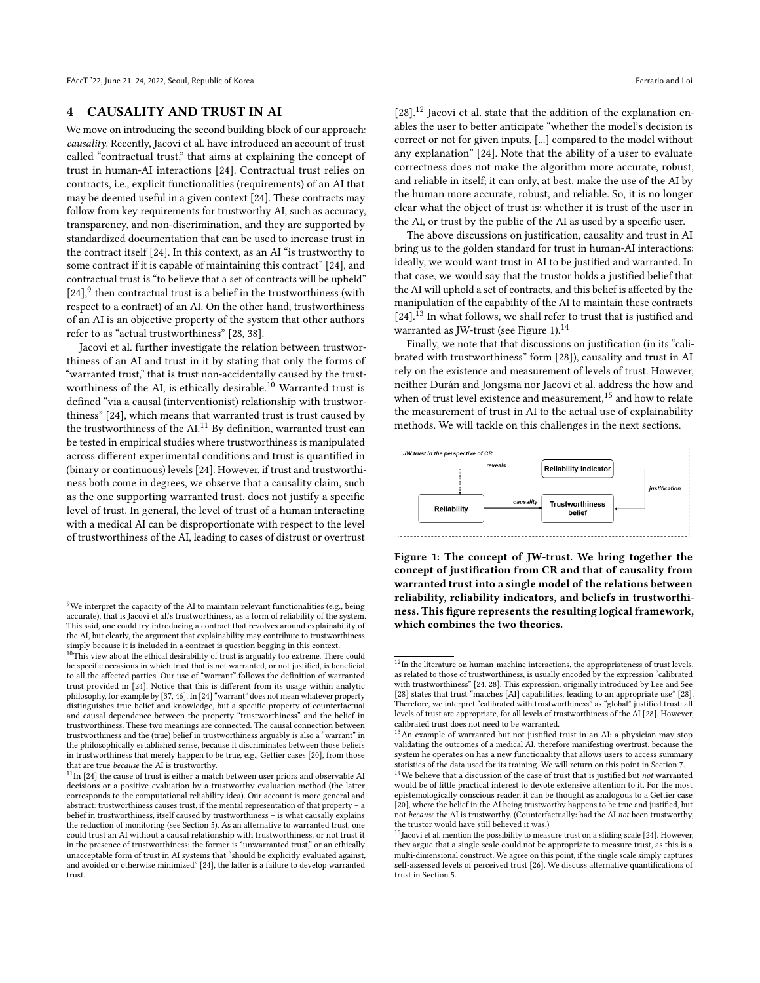#### <span id="page-3-0"></span>4 CAUSALITY AND TRUST IN AI

We move on introducing the second building block of our approach: causality. Recently, Jacovi et al. have introduced an account of trust called "contractual trust," that aims at explaining the concept of trust in human-AI interactions [\[24\]](#page-9-12). Contractual trust relies on contracts, i.e., explicit functionalities (requirements) of an AI that may be deemed useful in a given context [\[24\]](#page-9-12). These contracts may follow from key requirements for trustworthy AI, such as accuracy, transparency, and non-discrimination, and they are supported by standardized documentation that can be used to increase trust in the contract itself [\[24\]](#page-9-12). In this context, as an AI "is trustworthy to some contract if it is capable of maintaining this contract" [\[24\]](#page-9-12), and contractual trust is "to believe that a set of contracts will be upheld"  $[24]$ ,<sup>[9](#page-3-1)</sup> then contractual trust is a belief in the trustworthiness (with respect to a contract) of an AI. On the other hand, trustworthiness of an AI is an objective property of the system that other authors refer to as "actual trustworthiness" [\[28,](#page-9-24) [38\]](#page-9-25).

Jacovi et al. further investigate the relation between trustworthiness of an AI and trust in it by stating that only the forms of "warranted trust," that is trust non-accidentally caused by the trust-worthiness of the AI, is ethically desirable.<sup>[10](#page-3-2)</sup> Warranted trust is defined "via a causal (interventionist) relationship with trustworthiness" [\[24\]](#page-9-12), which means that warranted trust is trust caused by the trustworthiness of the AI.<sup>[11](#page-3-3)</sup> By definition, warranted trust can be tested in empirical studies where trustworthiness is manipulated across different experimental conditions and trust is quantified in (binary or continuous) levels [\[24\]](#page-9-12). However, if trust and trustworthiness both come in degrees, we observe that a causality claim, such as the one supporting warranted trust, does not justify a specific level of trust. In general, the level of trust of a human interacting with a medical AI can be disproportionate with respect to the level of trustworthiness of the AI, leading to cases of distrust or overtrust

 $[28]$ <sup>[12](#page-3-4)</sup> Jacovi et al. state that the addition of the explanation enables the user to better anticipate "whether the model's decision is correct or not for given inputs, [...] compared to the model without any explanation" [\[24\]](#page-9-12). Note that the ability of a user to evaluate correctness does not make the algorithm more accurate, robust, and reliable in itself; it can only, at best, make the use of the AI by the human more accurate, robust, and reliable. So, it is no longer clear what the object of trust is: whether it is trust of the user in the AI, or trust by the public of the AI as used by a specific user.

The above discussions on justification, causality and trust in AI bring us to the golden standard for trust in human-AI interactions: ideally, we would want trust in AI to be justified and warranted. In that case, we would say that the trustor holds a justified belief that the AI will uphold a set of contracts, and this belief is affected by the manipulation of the capability of the AI to maintain these contracts  $[24].$  $[24].$ <sup>[13](#page-3-5)</sup> In what follows, we shall refer to trust that is justified and warranted as JW-trust (see Figure [1\)](#page-3-6).[14](#page-3-7)

Finally, we note that that discussions on justification (in its "calibrated with trustworthiness" form [\[28\]](#page-9-24)), causality and trust in AI rely on the existence and measurement of levels of trust. However, neither Durán and Jongsma nor Jacovi et al. address the how and when of trust level existence and measurement,  $^{15}$  $^{15}$  $^{15}$  and how to relate the measurement of trust in AI to the actual use of explainability methods. We will tackle on this challenges in the next sections.

<span id="page-3-6"></span>

Figure 1: The concept of JW-trust. We bring together the concept of justification from CR and that of causality from warranted trust into a single model of the relations between reliability, reliability indicators, and beliefs in trustworthiness. This figure represents the resulting logical framework, which combines the two theories.

<span id="page-3-1"></span> $9$ We interpret the capacity of the AI to maintain relevant functionalities (e.g., being accurate), that is Jacovi et al.'s trustworthiness, as a form of reliability of the system. This said, one could try introducing a contract that revolves around explainability of the AI, but clearly, the argument that explainability may contribute to trustworthiness simply because it is included in a contract is question begging in this context.

<span id="page-3-2"></span> $10$ This view about the ethical desirability of trust is arguably too extreme. There could be specific occasions in which trust that is not warranted, or not justified, is beneficial to all the affected parties. Our use of "warrant" follows the definition of warranted trust provided in [\[24\]](#page-9-12). Notice that this is different from its usage within analytic philosophy, for example by [\[37,](#page-9-26) [46\]](#page-9-27). In [\[24\]](#page-9-12) "warrant" does not mean whatever property distinguishes true belief and knowledge, but a specific property of counterfactual and causal dependence between the property "trustworthiness" and the belief in trustworthiness. These two meanings are connected. The causal connection between trustworthiness and the (true) belief in trustworthiness arguably is also a "warrant" in the philosophically established sense, because it discriminates between those beliefs in trustworthiness that merely happen to be true, e.g., Gettier cases [\[20\]](#page-9-28), from those that are true because the AI is trustworthy.

<span id="page-3-3"></span> $^{11}{\rm In}$  [\[24\]](#page-9-12) the cause of trust is either a match between user priors and observable AI decisions or a positive evaluation by a trustworthy evaluation method (the latter corresponds to the computational reliability idea). Our account is more general and abstract: trustworthiness causes trust, if the mental representation of that property – a belief in trustworthiness, itself caused by trustworthiness – is what causally explains the reduction of monitoring (see Section [5\)](#page-4-0). As an alternative to warranted trust, one could trust an AI without a causal relationship with trustworthiness, or not trust it in the presence of trustworthiness: the former is "unwarranted trust," or an ethically unacceptable form of trust in AI systems that "should be explicitly evaluated against, and avoided or otherwise minimized" [\[24\]](#page-9-12), the latter is a failure to develop warranted trust.

<span id="page-3-4"></span> $\frac{12}{12}$ In the literature on human-machine interactions, the appropriateness of trust levels, as related to those of trustworthiness, is usually encoded by the expression "calibrated with trustworthiness" [\[24,](#page-9-12) [28\]](#page-9-24). This expression, originally introduced by Lee and See [\[28\]](#page-9-24) states that trust "matches [AI] capabilities, leading to an appropriate use" [28]. Therefore, we interpret "calibrated with trustworthiness" as "global" justified trust: all levels of trust are appropriate, for all levels of trustworthiness of the AI [\[28\]](#page-9-24). However, calibrated trust does not need to be warranted.

<span id="page-3-5"></span><sup>&</sup>lt;sup>13</sup>An example of warranted but not justified trust in an AI: a physician may stop validating the outcomes of a medical AI, therefore manifesting overtrust, because the system he operates on has a new functionality that allows users to access summary statistics of the data used for its training. We will return on this point in Section [7.](#page-5-0)

<span id="page-3-7"></span> $^{14}\mathrm{We}$  believe that a discussion of the case of trust that is justified but  $not$  warranted would be of little practical interest to devote extensive attention to it. For the most epistemologically conscious reader, it can be thought as analogous to a Gettier case [\[20\]](#page-9-28), where the belief in the AI being trustworthy happens to be true and justified, but not because the AI is trustworthy. (Counterfactually: had the AI not been trustworthy, the trustor would have still believed it was.)

<span id="page-3-8"></span> $15$ Jacovi et al. mention the possibility to measure trust on a sliding scale [\[24\]](#page-9-12). However, they argue that a single scale could not be appropriate to measure trust, as this is a multi-dimensional construct. We agree on this point, if the single scale simply captures self-assessed levels of perceived trust [\[26\]](#page-9-29). We discuss alternative quantifications of trust in Section [5.](#page-4-0)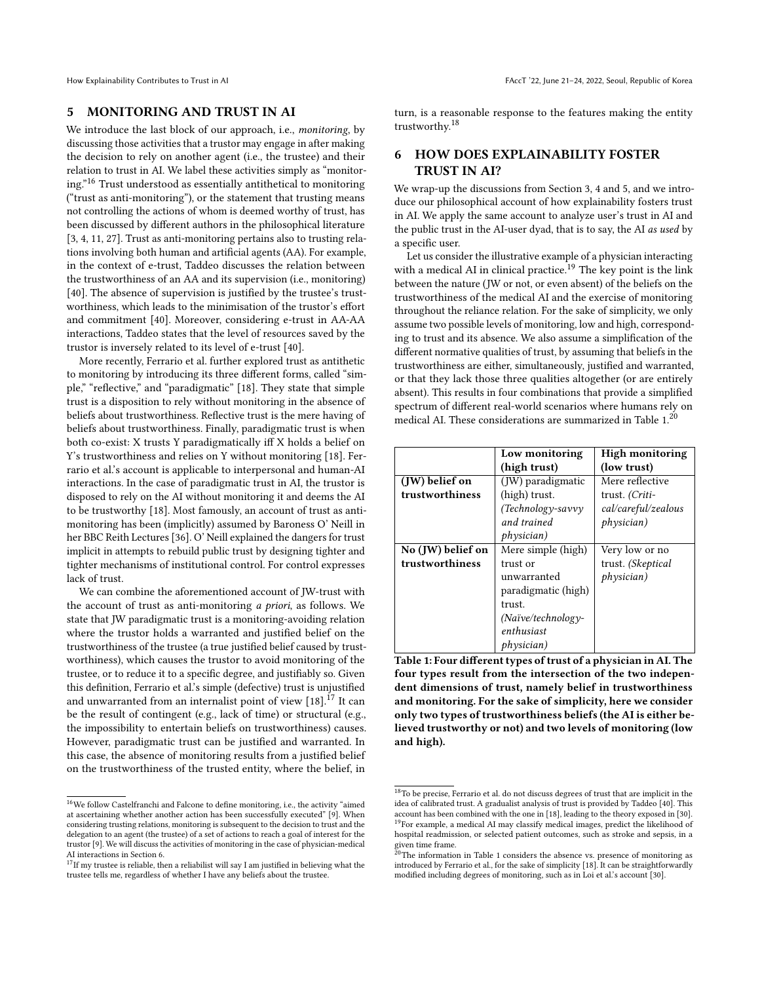### <span id="page-4-0"></span>5 MONITORING AND TRUST IN AI

We introduce the last block of our approach, i.e., monitoring, by discussing those activities that a trustor may engage in after making the decision to rely on another agent (i.e., the trustee) and their relation to trust in AI. We label these activities simply as "monitoring."[16](#page-4-2) Trust understood as essentially antithetical to monitoring ("trust as anti-monitoring"), or the statement that trusting means not controlling the actions of whom is deemed worthy of trust, has been discussed by different authors in the philosophical literature [\[3,](#page-8-5) [4,](#page-8-14) [11,](#page-8-6) [27\]](#page-9-14). Trust as anti-monitoring pertains also to trusting relations involving both human and artificial agents (AA). For example, in the context of e-trust, Taddeo discusses the relation between the trustworthiness of an AA and its supervision (i.e., monitoring) [\[40\]](#page-9-16). The absence of supervision is justified by the trustee's trustworthiness, which leads to the minimisation of the trustor's effort and commitment [\[40\]](#page-9-16). Moreover, considering e-trust in AA-AA interactions, Taddeo states that the level of resources saved by the trustor is inversely related to its level of e-trust [\[40\]](#page-9-16).

More recently, Ferrario et al. further explored trust as antithetic to monitoring by introducing its three different forms, called "simple," "reflective," and "paradigmatic" [\[18\]](#page-9-13). They state that simple trust is a disposition to rely without monitoring in the absence of beliefs about trustworthiness. Reflective trust is the mere having of beliefs about trustworthiness. Finally, paradigmatic trust is when both co-exist: X trusts Y paradigmatically iff X holds a belief on Y's trustworthiness and relies on Y without monitoring [\[18\]](#page-9-13). Ferrario et al.'s account is applicable to interpersonal and human-AI interactions. In the case of paradigmatic trust in AI, the trustor is disposed to rely on the AI without monitoring it and deems the AI to be trustworthy [\[18\]](#page-9-13). Most famously, an account of trust as antimonitoring has been (implicitly) assumed by Baroness O' Neill in her BBC Reith Lectures [\[36\]](#page-9-30). O' Neill explained the dangers for trust implicit in attempts to rebuild public trust by designing tighter and tighter mechanisms of institutional control. For control expresses lack of trust.

We can combine the aforementioned account of JW-trust with the account of trust as anti-monitoring a priori, as follows. We state that JW paradigmatic trust is a monitoring-avoiding relation where the trustor holds a warranted and justified belief on the trustworthiness of the trustee (a true justified belief caused by trustworthiness), which causes the trustor to avoid monitoring of the trustee, or to reduce it to a specific degree, and justifiably so. Given this definition, Ferrario et al.'s simple (defective) trust is unjustified and unwarranted from an internalist point of view  $[18]$ .<sup>[17](#page-4-3)</sup> It can be the result of contingent (e.g., lack of time) or structural (e.g., the impossibility to entertain beliefs on trustworthiness) causes. However, paradigmatic trust can be justified and warranted. In this case, the absence of monitoring results from a justified belief on the trustworthiness of the trusted entity, where the belief, in

turn, is a reasonable response to the features making the entity trustworthy.[18](#page-4-4)

## <span id="page-4-1"></span>6 HOW DOES EXPLAINABILITY FOSTER TRUST IN AI?

We wrap-up the discussions from Section [3,](#page-2-0) [4](#page-3-0) and [5,](#page-4-0) and we introduce our philosophical account of how explainability fosters trust in AI. We apply the same account to analyze user's trust in AI and the public trust in the AI-user dyad, that is to say, the AI as used by a specific user.

Let us consider the illustrative example of a physician interacting with a medical AI in clinical practice.<sup>[19](#page-4-5)</sup> The key point is the link between the nature (JW or not, or even absent) of the beliefs on the trustworthiness of the medical AI and the exercise of monitoring throughout the reliance relation. For the sake of simplicity, we only assume two possible levels of monitoring, low and high, corresponding to trust and its absence. We also assume a simplification of the different normative qualities of trust, by assuming that beliefs in the trustworthiness are either, simultaneously, justified and warranted, or that they lack those three qualities altogether (or are entirely absent). This results in four combinations that provide a simplified spectrum of different real-world scenarios where humans rely on medical AI. These considerations are summarized in Table [1.](#page-4-6)[20](#page-4-7)

<span id="page-4-6"></span>

|                   | Low monitoring             | <b>High monitoring</b>  |
|-------------------|----------------------------|-------------------------|
|                   | (high trust)               | (low trust)             |
| (JW) belief on    | (JW) paradigmatic          | Mere reflective         |
| trustworthiness   | (high) trust.              | trust. (Criti-          |
|                   | $(Technology-savvy)$       | cal/careful/zealous     |
|                   | and trained                | ph <sub>V</sub> sician) |
|                   | <i>physician</i> )         |                         |
| No (JW) belief on | Mere simple (high)         | Very low or no          |
| trustworthiness   | trust or                   | trust. (Skeptical       |
|                   | unwarranted                | ph <sub>V</sub> sician) |
|                   | paradigmatic (high)        |                         |
|                   | trust.                     |                         |
|                   | $(Na\ddot{v}e/technology-$ |                         |
|                   | enthusiast                 |                         |
|                   | <i>physician</i> )         |                         |

Table 1: Four different types of trust of a physician in AI. The four types result from the intersection of the two independent dimensions of trust, namely belief in trustworthiness and monitoring. For the sake of simplicity, here we consider only two types of trustworthiness beliefs (the AI is either believed trustworthy or not) and two levels of monitoring (low and high).

<span id="page-4-2"></span> $^{16}\mathrm{We}$  follow Castelfranchi and Falcone to define monitoring, i.e., the activity "aimed at ascertaining whether another action has been successfully executed" [\[9\]](#page-8-15). When considering trusting relations, monitoring is subsequent to the decision to trust and the delegation to an agent (the trustee) of a set of actions to reach a goal of interest for the trustor [\[9\]](#page-8-15). We will discuss the activities of monitoring in the case of physician-medical AI interactions in Section [6.](#page-4-1)

<span id="page-4-3"></span> $17$ If my trustee is reliable, then a reliabilist will say I am justified in believing what the trustee tells me, regardless of whether I have any beliefs about the trustee.

<span id="page-4-5"></span><span id="page-4-4"></span> $18$ To be precise, Ferrario et al. do not discuss degrees of trust that are implicit in the idea of calibrated trust. A gradualist analysis of trust is provided by Taddeo [\[40\]](#page-9-16). This account has been combined with the one in [\[18\]](#page-9-13), leading to the theory exposed in [\[30\]](#page-9-15). <sup>19</sup>For example, a medical AI may classify medical images, predict the likelihood of hospital readmission, or selected patient outcomes, such as stroke and sepsis, in a given time frame.

<span id="page-4-7"></span><sup>&</sup>lt;sup>2</sup>The information in Table [1](#page-4-6) considers the absence vs. presence of monitoring as introduced by Ferrario et al., for the sake of simplicity [\[18\]](#page-9-13). It can be straightforwardly modified including degrees of monitoring, such as in Loi et al.'s account [\[30\]](#page-9-15).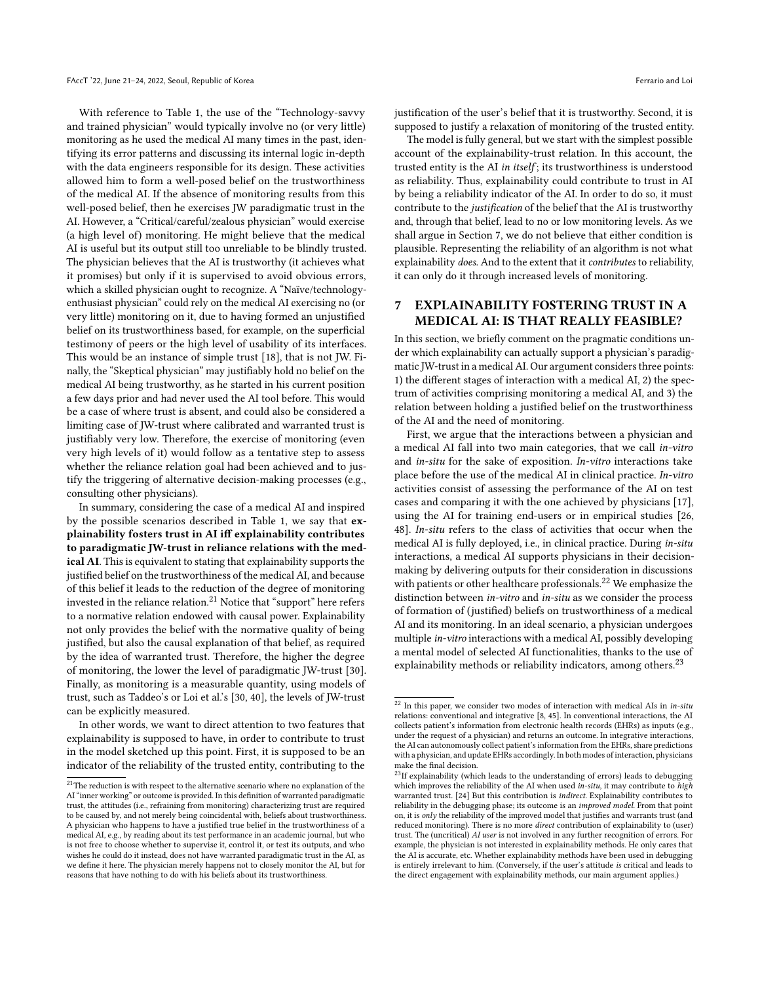With reference to Table [1,](#page-4-6) the use of the "Technology-savvy and trained physician" would typically involve no (or very little) monitoring as he used the medical AI many times in the past, identifying its error patterns and discussing its internal logic in-depth with the data engineers responsible for its design. These activities allowed him to form a well-posed belief on the trustworthiness of the medical AI. If the absence of monitoring results from this well-posed belief, then he exercises JW paradigmatic trust in the AI. However, a "Critical/careful/zealous physician" would exercise (a high level of) monitoring. He might believe that the medical AI is useful but its output still too unreliable to be blindly trusted. The physician believes that the AI is trustworthy (it achieves what it promises) but only if it is supervised to avoid obvious errors, which a skilled physician ought to recognize. A "Naïve/technologyenthusiast physician" could rely on the medical AI exercising no (or very little) monitoring on it, due to having formed an unjustified belief on its trustworthiness based, for example, on the superficial testimony of peers or the high level of usability of its interfaces. This would be an instance of simple trust [\[18\]](#page-9-13), that is not JW. Finally, the "Skeptical physician" may justifiably hold no belief on the medical AI being trustworthy, as he started in his current position a few days prior and had never used the AI tool before. This would be a case of where trust is absent, and could also be considered a limiting case of JW-trust where calibrated and warranted trust is justifiably very low. Therefore, the exercise of monitoring (even very high levels of it) would follow as a tentative step to assess whether the reliance relation goal had been achieved and to justify the triggering of alternative decision-making processes (e.g., consulting other physicians).

In summary, considering the case of a medical AI and inspired by the possible scenarios described in Table [1,](#page-4-6) we say that explainability fosters trust in AI iff explainability contributes to paradigmatic JW-trust in reliance relations with the medical AI. This is equivalent to stating that explainability supports the justified belief on the trustworthiness of the medical AI, and because of this belief it leads to the reduction of the degree of monitoring invested in the reliance relation.<sup>[21](#page-5-1)</sup> Notice that "support" here refers to a normative relation endowed with causal power. Explainability not only provides the belief with the normative quality of being justified, but also the causal explanation of that belief, as required by the idea of warranted trust. Therefore, the higher the degree of monitoring, the lower the level of paradigmatic JW-trust [\[30\]](#page-9-15). Finally, as monitoring is a measurable quantity, using models of trust, such as Taddeo's or Loi et al.'s [\[30,](#page-9-15) [40\]](#page-9-16), the levels of JW-trust can be explicitly measured.

In other words, we want to direct attention to two features that explainability is supposed to have, in order to contribute to trust in the model sketched up this point. First, it is supposed to be an indicator of the reliability of the trusted entity, contributing to the justification of the user's belief that it is trustworthy. Second, it is supposed to justify a relaxation of monitoring of the trusted entity.

The model is fully general, but we start with the simplest possible account of the explainability-trust relation. In this account, the trusted entity is the AI in itself ; its trustworthiness is understood as reliability. Thus, explainability could contribute to trust in AI by being a reliability indicator of the AI. In order to do so, it must contribute to the justification of the belief that the AI is trustworthy and, through that belief, lead to no or low monitoring levels. As we shall argue in Section [7,](#page-5-0) we do not believe that either condition is plausible. Representing the reliability of an algorithm is not what explainability does. And to the extent that it contributes to reliability, it can only do it through increased levels of monitoring.

## <span id="page-5-0"></span>7 EXPLAINABILITY FOSTERING TRUST IN A MEDICAL AI: IS THAT REALLY FEASIBLE?

In this section, we briefly comment on the pragmatic conditions under which explainability can actually support a physician's paradigmatic JW-trust in a medical AI. Our argument considers three points: 1) the different stages of interaction with a medical AI, 2) the spectrum of activities comprising monitoring a medical AI, and 3) the relation between holding a justified belief on the trustworthiness of the AI and the need of monitoring.

First, we argue that the interactions between a physician and a medical AI fall into two main categories, that we call in-vitro and in-situ for the sake of exposition. In-vitro interactions take place before the use of the medical AI in clinical practice. In-vitro activities consist of assessing the performance of the AI on test cases and comparing it with the one achieved by physicians [\[17\]](#page-8-11), using the AI for training end-users or in empirical studies [\[26,](#page-9-29) [48\]](#page-9-31). In-situ refers to the class of activities that occur when the medical AI is fully deployed, i.e., in clinical practice. During in-situ interactions, a medical AI supports physicians in their decisionmaking by delivering outputs for their consideration in discussions with patients or other healthcare professionals.<sup>[22](#page-5-2)</sup> We emphasize the distinction between in-vitro and in-situ as we consider the process of formation of (justified) beliefs on trustworthiness of a medical AI and its monitoring. In an ideal scenario, a physician undergoes multiple in-vitro interactions with a medical AI, possibly developing a mental model of selected AI functionalities, thanks to the use of explainability methods or reliability indicators, among others.<sup>[23](#page-5-3)</sup>

<span id="page-5-1"></span> $^\mathrm{21}$  The reduction is with respect to the alternative scenario where no explanation of the AI "inner working" or outcome is provided. In this definition of warranted paradigmatic trust, the attitudes (i.e., refraining from monitoring) characterizing trust are required to be caused by, and not merely being coincidental with, beliefs about trustworthiness. A physician who happens to have a justified true belief in the trustworthiness of a medical AI, e.g., by reading about its test performance in an academic journal, but who is not free to choose whether to supervise it, control it, or test its outputs, and who wishes he could do it instead, does not have warranted paradigmatic trust in the AI, as we define it here. The physician merely happens not to closely monitor the AI, but for reasons that have nothing to do with his beliefs about its trustworthiness.

<span id="page-5-2"></span> $22$  In this paper, we consider two modes of interaction with medical AIs in in-situ relations: conventional and integrative [\[8,](#page-8-0) [45\]](#page-9-4). In conventional interactions, the AI collects patient's information from electronic health records (EHRs) as inputs (e.g., under the request of a physician) and returns an outcome. In integrative interactions, the AI can autonomously collect patient's information from the EHRs, share predictions with a physician, and update EHRs accordingly. In both modes of interaction, physicians make the final decision.

<span id="page-5-3"></span> $23$ If explainability (which leads to the understanding of errors) leads to debugging which improves the reliability of the AI when used in-situ, it may contribute to high warranted trust. [\[24\]](#page-9-12) But this contribution is indirect. Explainability contributes to reliability in the debugging phase; its outcome is an *improved model*. From that point on, it is only the reliability of the improved model that justifies and warrants trust (and reduced monitoring). There is no more direct contribution of explainability to (user) trust. The (uncritical) AI user is not involved in any further recognition of errors. For example, the physician is not interested in explainability methods. He only cares that the AI is accurate, etc. Whether explainability methods have been used in debugging is entirely irrelevant to him. (Conversely, if the user's attitude is critical and leads to the direct engagement with explainability methods, our main argument applies.)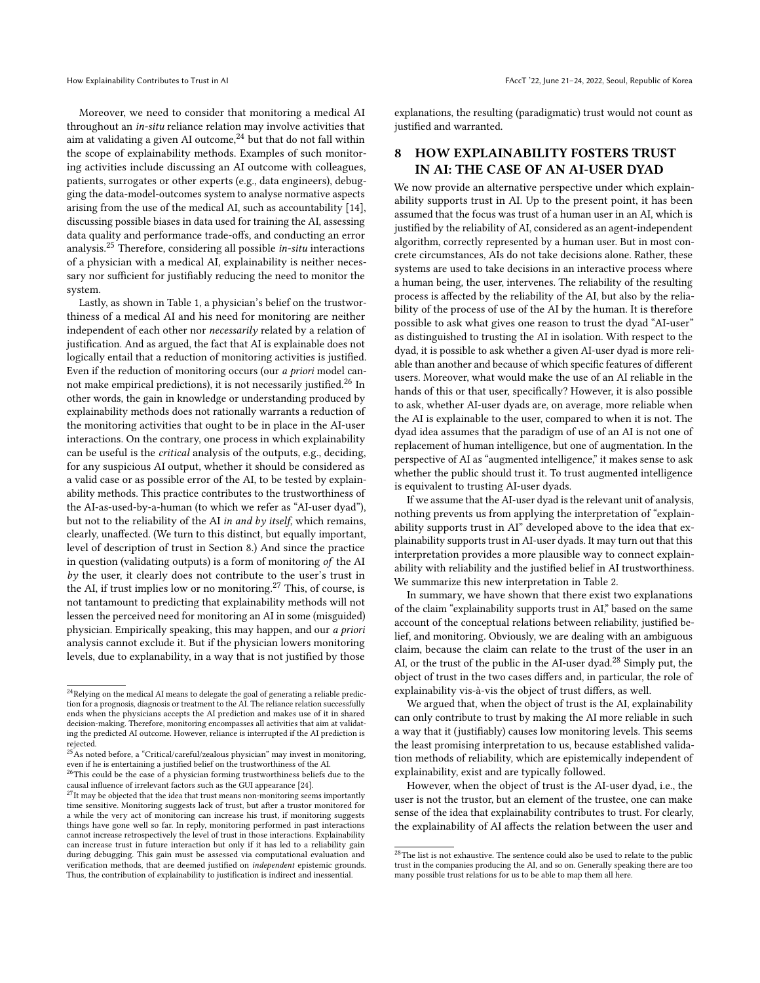Moreover, we need to consider that monitoring a medical AI throughout an in-situ reliance relation may involve activities that aim at validating a given AI outcome,<sup>[24](#page-6-1)</sup> but that do not fall within the scope of explainability methods. Examples of such monitoring activities include discussing an AI outcome with colleagues, patients, surrogates or other experts (e.g., data engineers), debugging the data-model-outcomes system to analyse normative aspects arising from the use of the medical AI, such as accountability [\[14\]](#page-8-3), discussing possible biases in data used for training the AI, assessing data quality and performance trade-offs, and conducting an error analysis.[25](#page-6-2) Therefore, considering all possible in-situ interactions of a physician with a medical AI, explainability is neither necessary nor sufficient for justifiably reducing the need to monitor the system.

Lastly, as shown in Table [1,](#page-4-6) a physician's belief on the trustworthiness of a medical AI and his need for monitoring are neither independent of each other nor necessarily related by a relation of justification. And as argued, the fact that AI is explainable does not logically entail that a reduction of monitoring activities is justified. Even if the reduction of monitoring occurs (our a priori model cannot make empirical predictions), it is not necessarily justified.[26](#page-6-3) In other words, the gain in knowledge or understanding produced by explainability methods does not rationally warrants a reduction of the monitoring activities that ought to be in place in the AI-user interactions. On the contrary, one process in which explainability can be useful is the critical analysis of the outputs, e.g., deciding, for any suspicious AI output, whether it should be considered as a valid case or as possible error of the AI, to be tested by explainability methods. This practice contributes to the trustworthiness of the AI-as-used-by-a-human (to which we refer as "AI-user dyad"), but not to the reliability of the AI in and by itself, which remains, clearly, unaffected. (We turn to this distinct, but equally important, level of description of trust in Section [8.](#page-6-0)) And since the practice in question (validating outputs) is a form of monitoring of the AI by the user, it clearly does not contribute to the user's trust in the AI, if trust implies low or no monitoring.<sup>[27](#page-6-4)</sup> This, of course, is not tantamount to predicting that explainability methods will not lessen the perceived need for monitoring an AI in some (misguided) physician. Empirically speaking, this may happen, and our a priori analysis cannot exclude it. But if the physician lowers monitoring levels, due to explanability, in a way that is not justified by those

explanations, the resulting (paradigmatic) trust would not count as justified and warranted.

## <span id="page-6-0"></span>8 HOW EXPLAINABILITY FOSTERS TRUST IN AI: THE CASE OF AN AI-USER DYAD

We now provide an alternative perspective under which explainability supports trust in AI. Up to the present point, it has been assumed that the focus was trust of a human user in an AI, which is justified by the reliability of AI, considered as an agent-independent algorithm, correctly represented by a human user. But in most concrete circumstances, AIs do not take decisions alone. Rather, these systems are used to take decisions in an interactive process where a human being, the user, intervenes. The reliability of the resulting process is affected by the reliability of the AI, but also by the reliability of the process of use of the AI by the human. It is therefore possible to ask what gives one reason to trust the dyad "AI-user" as distinguished to trusting the AI in isolation. With respect to the dyad, it is possible to ask whether a given AI-user dyad is more reliable than another and because of which specific features of different users. Moreover, what would make the use of an AI reliable in the hands of this or that user, specifically? However, it is also possible to ask, whether AI-user dyads are, on average, more reliable when the AI is explainable to the user, compared to when it is not. The dyad idea assumes that the paradigm of use of an AI is not one of replacement of human intelligence, but one of augmentation. In the perspective of AI as "augmented intelligence," it makes sense to ask whether the public should trust it. To trust augmented intelligence is equivalent to trusting AI-user dyads.

If we assume that the AI-user dyad is the relevant unit of analysis, nothing prevents us from applying the interpretation of "explainability supports trust in AI" developed above to the idea that explainability supports trust in AI-user dyads. It may turn out that this interpretation provides a more plausible way to connect explainability with reliability and the justified belief in AI trustworthiness. We summarize this new interpretation in Table [2.](#page-7-0)

In summary, we have shown that there exist two explanations of the claim "explainability supports trust in AI," based on the same account of the conceptual relations between reliability, justified belief, and monitoring. Obviously, we are dealing with an ambiguous claim, because the claim can relate to the trust of the user in an AI, or the trust of the public in the AI-user dyad.<sup>[28](#page-6-5)</sup> Simply put, the object of trust in the two cases differs and, in particular, the role of explainability vis-à-vis the object of trust differs, as well.

We argued that, when the object of trust is the AI, explainability can only contribute to trust by making the AI more reliable in such a way that it (justifiably) causes low monitoring levels. This seems the least promising interpretation to us, because established validation methods of reliability, which are epistemically independent of explainability, exist and are typically followed.

However, when the object of trust is the AI-user dyad, i.e., the user is not the trustor, but an element of the trustee, one can make sense of the idea that explainability contributes to trust. For clearly, the explainability of AI affects the relation between the user and

<span id="page-6-1"></span> $^{24}\mathrm{Relying}$  on the medical AI means to delegate the goal of generating a reliable prediction for a prognosis, diagnosis or treatment to the AI. The reliance relation successfully ends when the physicians accepts the AI prediction and makes use of it in shared decision-making. Therefore, monitoring encompasses all activities that aim at validating the predicted AI outcome. However, reliance is interrupted if the AI prediction is rejected.

<span id="page-6-2"></span> $^{25}\mathrm{\AA}s$  noted before, a "Critical/careful/zealous physician" may invest in monitoring, even if he is entertaining a justified belief on the trustworthiness of the AI.

<span id="page-6-3"></span> $^{26}\mathrm{This}$  could be the case of a physician forming trustworthiness beliefs due to the causal influence of irrelevant factors such as the GUI appearance [\[24\]](#page-9-12).<br><sup>27</sup>It may be objected that the idea that trust means non-monitoring seems importantly

<span id="page-6-4"></span>time sensitive. Monitoring suggests lack of trust, but after a trustor monitored for a while the very act of monitoring can increase his trust, if monitoring suggests things have gone well so far. In reply, monitoring performed in past interactions cannot increase retrospectively the level of trust in those interactions. Explainability can increase trust in future interaction but only if it has led to a reliability gain during debugging. This gain must be assessed via computational evaluation and verification methods, that are deemed justified on independent epistemic grounds. Thus, the contribution of explainability to justification is indirect and inessential.

<span id="page-6-5"></span> $^{28}{\rm The}$  list is not exhaustive. The sentence could also be used to relate to the public trust in the companies producing the AI, and so on. Generally speaking there are too many possible trust relations for us to be able to map them all here.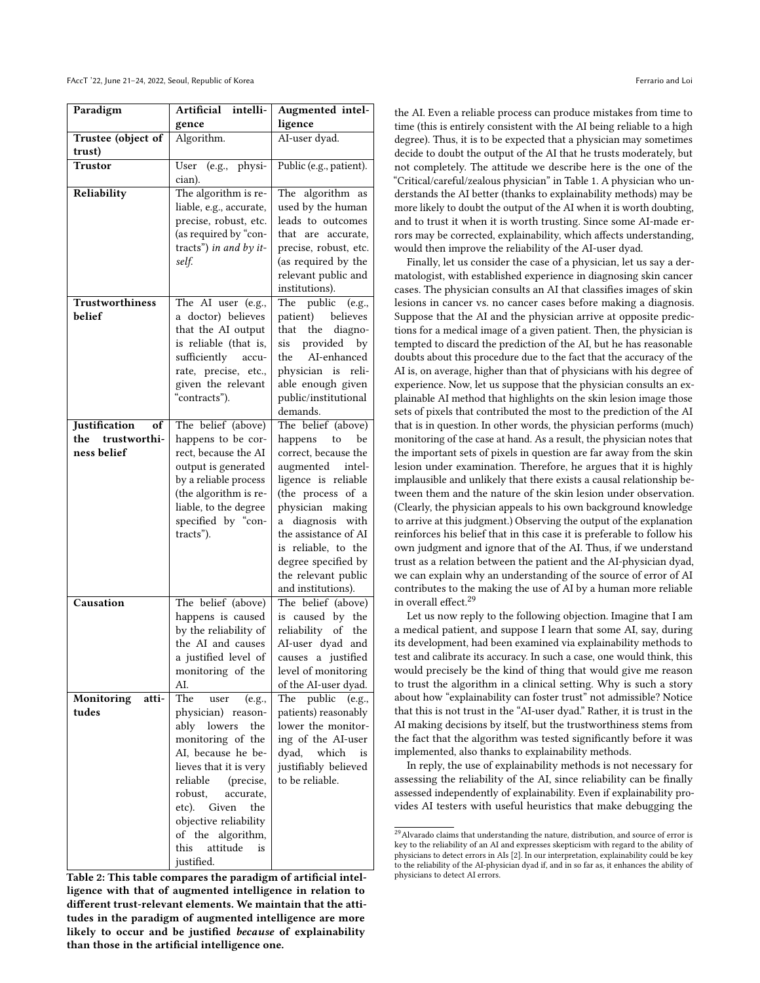<span id="page-7-0"></span>

| Paradigm                     | <b>Artificial</b><br>intelli-               | Augmented intel-                             |
|------------------------------|---------------------------------------------|----------------------------------------------|
|                              | gence                                       | ligence                                      |
| Trustee (object of           | Algorithm.                                  | AI-user dyad.                                |
| trust)                       |                                             |                                              |
| <b>Trustor</b>               | (e.g., physi-<br>User                       | Public (e.g., patient).                      |
|                              | cian).                                      |                                              |
| Reliability                  | The algorithm is re-                        | The algorithm<br>as                          |
|                              | liable, e.g., accurate,                     | used by the human                            |
|                              | precise, robust, etc.                       | leads to outcomes                            |
|                              | (as required by "con-                       | that are accurate,                           |
|                              | tracts") in and by it-                      | precise, robust, etc.                        |
|                              | self.                                       | (as required by the                          |
|                              |                                             | relevant public and<br>institutions).        |
| Trustworthiness              | The AI user (e.g.,                          | The<br>public (e.g.,                         |
| belief                       | a doctor) believes                          | patient)<br>believes                         |
|                              | that the AI output                          | that<br>the<br>diagno-                       |
|                              | is reliable (that is,                       | provided<br>sis<br>by                        |
|                              | sufficiently<br>accu-                       | AI-enhanced<br>the                           |
|                              | rate, precise, etc.,                        | physician is<br>reli-                        |
|                              | given the relevant                          | able enough given                            |
|                              | "contracts").                               | public/institutional                         |
|                              |                                             | demands.                                     |
| Justification<br>of          | The belief (above)                          | The belief (above)                           |
| the<br>trustworthi-          | happens to be cor-                          | happens to<br>be                             |
| ness belief                  | rect, because the AI                        | correct, because the                         |
|                              | output is generated                         | augmented intel-                             |
|                              | by a reliable process                       | ligence is reliable                          |
|                              | (the algorithm is re-                       | (the process of a                            |
|                              | liable, to the degree<br>specified by "con- | physician making<br>diagnosis<br>with<br>a   |
|                              | tracts").                                   | the assistance of AI                         |
|                              |                                             | is reliable, to the                          |
|                              |                                             | degree specified by                          |
|                              |                                             | the relevant public                          |
|                              |                                             | and institutions).                           |
| Causation                    | The belief (above)                          | The belief (above)                           |
|                              | happens is caused                           | is caused by the                             |
|                              | by the reliability of                       | reliability of the                           |
|                              | the AI and causes                           | AI-user dyad and                             |
|                              | a justified level of                        | causes a justified                           |
|                              | monitoring of the                           | level of monitoring                          |
|                              | AI.<br>The                                  | of the AI-user dyad.                         |
| Monitoring<br>atti-<br>tudes | user<br>(e.g.,                              | The public<br>(e.g.,<br>patients) reasonably |
|                              | physician) reason-<br>ably lowers<br>the    | lower the monitor-                           |
|                              | monitoring of the                           | ing of the AI-user                           |
|                              | AI, because he be-                          | dyad, which<br>is                            |
|                              | lieves that it is very                      | justifiably believed                         |
|                              | reliable<br>(precise,                       | to be reliable.                              |
|                              | robust,<br>accurate.                        |                                              |
|                              | etc). Given<br>the                          |                                              |
|                              | objective reliability                       |                                              |
|                              | of the algorithm,                           |                                              |
|                              | attitude<br>this<br>is                      |                                              |
|                              | justified.                                  |                                              |

Table 2: This table compares the paradigm of artificial intelligence with that of augmented intelligence in relation to different trust-relevant elements. We maintain that the attitudes in the paradigm of augmented intelligence are more likely to occur and be justified because of explainability than those in the artificial intelligence one.

the AI. Even a reliable process can produce mistakes from time to time (this is entirely consistent with the AI being reliable to a high degree). Thus, it is to be expected that a physician may sometimes decide to doubt the output of the AI that he trusts moderately, but not completely. The attitude we describe here is the one of the "Critical/careful/zealous physician" in Table [1.](#page-4-6) A physician who understands the AI better (thanks to explainability methods) may be more likely to doubt the output of the AI when it is worth doubting, and to trust it when it is worth trusting. Since some AI-made errors may be corrected, explainability, which affects understanding, would then improve the reliability of the AI-user dyad.

Finally, let us consider the case of a physician, let us say a dermatologist, with established experience in diagnosing skin cancer cases. The physician consults an AI that classifies images of skin lesions in cancer vs. no cancer cases before making a diagnosis. Suppose that the AI and the physician arrive at opposite predictions for a medical image of a given patient. Then, the physician is tempted to discard the prediction of the AI, but he has reasonable doubts about this procedure due to the fact that the accuracy of the AI is, on average, higher than that of physicians with his degree of experience. Now, let us suppose that the physician consults an explainable AI method that highlights on the skin lesion image those sets of pixels that contributed the most to the prediction of the AI that is in question. In other words, the physician performs (much) monitoring of the case at hand. As a result, the physician notes that the important sets of pixels in question are far away from the skin lesion under examination. Therefore, he argues that it is highly implausible and unlikely that there exists a causal relationship between them and the nature of the skin lesion under observation. (Clearly, the physician appeals to his own background knowledge to arrive at this judgment.) Observing the output of the explanation reinforces his belief that in this case it is preferable to follow his own judgment and ignore that of the AI. Thus, if we understand trust as a relation between the patient and the AI-physician dyad, we can explain why an understanding of the source of error of AI contributes to the making the use of AI by a human more reliable in overall effect.[29](#page-7-1)

Let us now reply to the following objection. Imagine that I am a medical patient, and suppose I learn that some AI, say, during its development, had been examined via explainability methods to test and calibrate its accuracy. In such a case, one would think, this would precisely be the kind of thing that would give me reason to trust the algorithm in a clinical setting. Why is such a story about how "explainability can foster trust" not admissible? Notice that this is not trust in the "AI-user dyad." Rather, it is trust in the AI making decisions by itself, but the trustworthiness stems from the fact that the algorithm was tested significantly before it was implemented, also thanks to explainability methods.

In reply, the use of explainability methods is not necessary for assessing the reliability of the AI, since reliability can be finally assessed independently of explainability. Even if explainability provides AI testers with useful heuristics that make debugging the

<span id="page-7-1"></span> $^{29}\rm{Alvarado}$  claims that understanding the nature, distribution, and source of error is key to the reliability of an AI and expresses skepticism with regard to the ability of physicians to detect errors in AIs [\[2\]](#page-8-16). In our interpretation, explainability could be key to the reliability of the AI-physician dyad if, and in so far as, it enhances the ability of physicians to detect AI errors.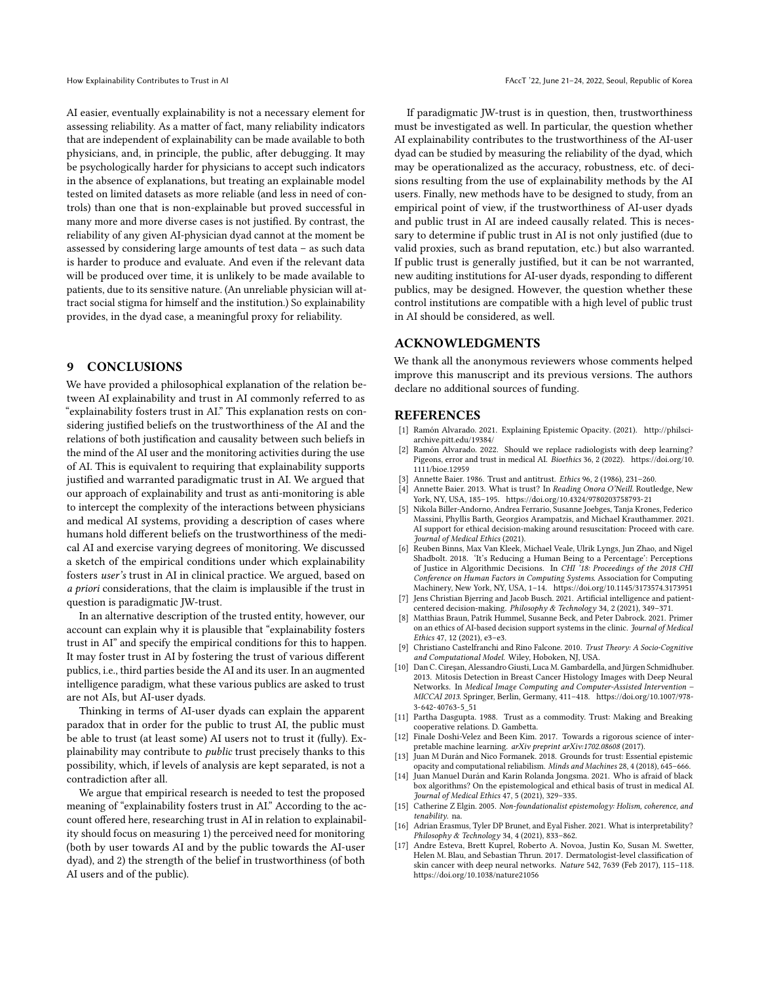AI easier, eventually explainability is not a necessary element for assessing reliability. As a matter of fact, many reliability indicators that are independent of explainability can be made available to both physicians, and, in principle, the public, after debugging. It may be psychologically harder for physicians to accept such indicators in the absence of explanations, but treating an explainable model tested on limited datasets as more reliable (and less in need of controls) than one that is non-explainable but proved successful in many more and more diverse cases is not justified. By contrast, the reliability of any given AI-physician dyad cannot at the moment be assessed by considering large amounts of test data – as such data is harder to produce and evaluate. And even if the relevant data will be produced over time, it is unlikely to be made available to patients, due to its sensitive nature. (An unreliable physician will attract social stigma for himself and the institution.) So explainability provides, in the dyad case, a meaningful proxy for reliability.

### 9 CONCLUSIONS

We have provided a philosophical explanation of the relation between AI explainability and trust in AI commonly referred to as "explainability fosters trust in AI." This explanation rests on considering justified beliefs on the trustworthiness of the AI and the relations of both justification and causality between such beliefs in the mind of the AI user and the monitoring activities during the use of AI. This is equivalent to requiring that explainability supports justified and warranted paradigmatic trust in AI. We argued that our approach of explainability and trust as anti-monitoring is able to intercept the complexity of the interactions between physicians and medical AI systems, providing a description of cases where humans hold different beliefs on the trustworthiness of the medical AI and exercise varying degrees of monitoring. We discussed a sketch of the empirical conditions under which explainability fosters user's trust in AI in clinical practice. We argued, based on a priori considerations, that the claim is implausible if the trust in question is paradigmatic JW-trust.

In an alternative description of the trusted entity, however, our account can explain why it is plausible that "explainability fosters trust in AI" and specify the empirical conditions for this to happen. It may foster trust in AI by fostering the trust of various different publics, i.e., third parties beside the AI and its user. In an augmented intelligence paradigm, what these various publics are asked to trust are not AIs, but AI-user dyads.

Thinking in terms of AI-user dyads can explain the apparent paradox that in order for the public to trust AI, the public must be able to trust (at least some) AI users not to trust it (fully). Explainability may contribute to *public* trust precisely thanks to this possibility, which, if levels of analysis are kept separated, is not a contradiction after all.

We argue that empirical research is needed to test the proposed meaning of "explainability fosters trust in AI." According to the account offered here, researching trust in AI in relation to explainability should focus on measuring 1) the perceived need for monitoring (both by user towards AI and by the public towards the AI-user dyad), and 2) the strength of the belief in trustworthiness (of both AI users and of the public).

If paradigmatic JW-trust is in question, then, trustworthiness must be investigated as well. In particular, the question whether AI explainability contributes to the trustworthiness of the AI-user dyad can be studied by measuring the reliability of the dyad, which may be operationalized as the accuracy, robustness, etc. of decisions resulting from the use of explainability methods by the AI users. Finally, new methods have to be designed to study, from an empirical point of view, if the trustworthiness of AI-user dyads and public trust in AI are indeed causally related. This is necessary to determine if public trust in AI is not only justified (due to valid proxies, such as brand reputation, etc.) but also warranted. If public trust is generally justified, but it can be not warranted, new auditing institutions for AI-user dyads, responding to different publics, may be designed. However, the question whether these control institutions are compatible with a high level of public trust in AI should be considered, as well.

#### ACKNOWLEDGMENTS

We thank all the anonymous reviewers whose comments helped improve this manuscript and its previous versions. The authors declare no additional sources of funding.

#### REFERENCES

- <span id="page-8-13"></span>Ramón Alvarado. 2021. Explaining Epistemic Opacity. (2021). [http://philsci](http://philsci-archive.pitt.edu/19384/)[archive.pitt.edu/19384/](http://philsci-archive.pitt.edu/19384/)
- <span id="page-8-16"></span>[2] Ramón Alvarado. 2022. Should we replace radiologists with deep learning? Pigeons, error and trust in medical AI. Bioethics 36, 2 (2022). [https://doi.org/10.](https://doi.org/10.1111/bioe.12959) [1111/bioe.12959](https://doi.org/10.1111/bioe.12959)
- <span id="page-8-5"></span>[3] Annette Baier. 1986. Trust and antitrust. Ethics 96, 2 (1986), 231–260.
- <span id="page-8-14"></span>[4] Annette Baier. 2013. What is trust? In Reading Onora O'Neill. Routledge, New York, NY, USA, 185–195.<https://doi.org/10.4324/9780203758793-21>
- <span id="page-8-1"></span>[5] Nikola Biller-Andorno, Andrea Ferrario, Susanne Joebges, Tanja Krones, Federico Massini, Phyllis Barth, Georgios Arampatzis, and Michael Krauthammer. 2021. AI support for ethical decision-making around resuscitation: Proceed with care. Journal of Medical Ethics (2021).
- <span id="page-8-9"></span>[6] Reuben Binns, Max Van Kleek, Michael Veale, Ulrik Lyngs, Jun Zhao, and Nigel Shadbolt. 2018. 'It's Reducing a Human Being to a Percentage': Perceptions of Justice in Algorithmic Decisions. In CHI '18: Proceedings of the 2018 CHI Conference on Human Factors in Computing Systems. Association for Computing Machinery, New York, NY, USA, 1–14.<https://doi.org/10.1145/3173574.3173951>
- <span id="page-8-2"></span>[7] Jens Christian Bjerring and Jacob Busch. 2021. Artificial intelligence and patientcentered decision-making. Philosophy & Technology 34, 2 (2021), 349–371.
- <span id="page-8-0"></span>[8] Matthias Braun, Patrik Hummel, Susanne Beck, and Peter Dabrock. 2021. Primer on an ethics of AI-based decision support systems in the clinic. Journal of Medical Ethics 47, 12 (2021), e3–e3.
- <span id="page-8-15"></span>[9] Christiano Castelfranchi and Rino Falcone. 2010. Trust Theory: A Socio-Cognitive and Computational Model. Wiley, Hoboken, NJ, USA.
- <span id="page-8-10"></span>[10] Dan C. Cireşan, Alessandro Giusti, Luca M. Gambardella, and Jürgen Schmidhuber. 2013. Mitosis Detection in Breast Cancer Histology Images with Deep Neural Networks. In Medical Image Computing and Computer-Assisted Intervention – MICCAI 2013. Springer, Berlin, Germany, 411–418. [https://doi.org/10.1007/978-](https://doi.org/10.1007/978-3-642-40763-5_51) [3-642-40763-5\\_51](https://doi.org/10.1007/978-3-642-40763-5_51)
- <span id="page-8-6"></span>[11] Partha Dasgupta. 1988. Trust as a commodity. Trust: Making and Breaking cooperative relations. D. Gambetta.
- <span id="page-8-7"></span>[12] Finale Doshi-Velez and Been Kim. 2017. Towards a rigorous science of interpretable machine learning. arXiv preprint arXiv:1702.08608 (2017).
- <span id="page-8-4"></span>[13] Juan M Durán and Nico Formanek. 2018. Grounds for trust: Essential epistemic opacity and computational reliabilism. Minds and Machines 28, 4 (2018), 645–666.
- <span id="page-8-3"></span>[14] Juan Manuel Durán and Karin Rolanda Jongsma. 2021. Who is afraid of black box algorithms? On the epistemological and ethical basis of trust in medical AI. Journal of Medical Ethics 47, 5 (2021), 329–335.
- <span id="page-8-12"></span>[15] Catherine Z Elgin. 2005. Non-foundationalist epistemology: Holism, coherence, and tenability. na.
- <span id="page-8-8"></span>[16] Adrian Erasmus, Tyler DP Brunet, and Eyal Fisher. 2021. What is interpretability? Philosophy & Technology 34, 4 (2021), 833–862.
- <span id="page-8-11"></span>Andre Esteva, Brett Kuprel, Roberto A. Novoa, Justin Ko, Susan M. Swetter, Helen M. Blau, and Sebastian Thrun. 2017. Dermatologist-level classification of skin cancer with deep neural networks. Nature 542, 7639 (Feb 2017), 115–118. <https://doi.org/10.1038/nature21056>